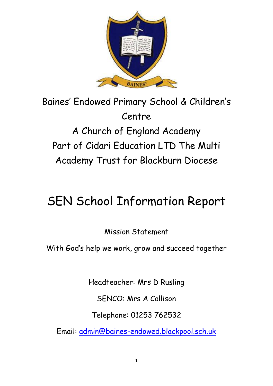

Baines' Endowed Primary School & Children's Centre A Church of England Academy Part of Cidari Education LTD The Multi Academy Trust for Blackburn Diocese

# SEN School Information Report

Mission Statement

With God's help we work, grow and succeed together

Headteacher: Mrs D Rusling

SENCO: Mrs A Collison

Telephone: 01253 762532

Email: [admin@baines-endowed.blackpool.sch.uk](mailto:admin@baines-endowed.blackpool.sch.uk)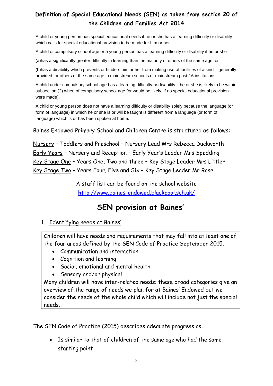# **Definition of Special Educational Needs (SEN) as taken from section 20 of the Children and Families Act 2014**

A child or young person has special educational needs if he or she has a learning difficulty or disability which calls for special educational provision to be made for him or her.

A child of compulsory school age or a young person has a learning difficulty or disability if he or she—

(a)has a significantly greater difficulty in learning than the majority of others of the same age, or

(b)has a disability which prevents or hinders him or her from making use of facilities of a kind generally provided for others of the same age in mainstream schools or mainstream post-16 institutions.

A child under compulsory school age has a learning difficulty or disability if he or she is likely to be within subsection (2) when of compulsory school age (or would be likely, if no special educational provision were made).

A child or young person does not have a learning difficulty or disability solely because the language (or form of language) in which he or she is or will be taught is different from a language (or form of language) which is or has been spoken at home.

Baines Endowed Primary School and Children Centre is structured as follows:

Nursery – Toddlers and Preschool – Nursery Lead Mrs Rebecca Duckworth Early Years – Nursery and Reception – Early Year's Leader Mrs Spedding Key Stage One – Years One, Two and three – Key Stage Leader Mrs Littler Key Stage Two – Years Four, Five and Six – Key Stage Leader Mr Rose

> A staff list can be found on the school website <http://www.baines-endowed.blackpool.sch.uk/>

# **SEN provision at Baines'**

#### 1. Identifying needs at Baines'

Children will have needs and requirements that may fall into at least one of the four areas defined by the SEN Code of Practice September 2015.

- Communication and interaction
- Cognition and learning
- Social, emotional and mental health
- Sensory and/or physical

Many children will have inter-related needs; these broad categories give an overview of the range of needs we plan for at Baines' Endowed but we consider the needs of the whole child which will include not just the special needs.

The SEN Code of Practice (2015) describes adequate progress as:

 Is similar to that of children of the same age who had the same starting point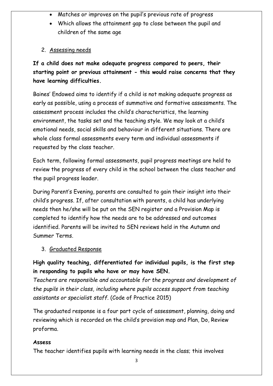- Matches or improves on the pupil's previous rate of progress
- Which allows the attainment gap to close between the pupil and children of the same age
- 2. Assessing needs

**If a child does not make adequate progress compared to peers, their starting point or previous attainment - this would raise concerns that they have learning difficulties.**

Baines' Endowed aims to identify if a child is not making adequate progress as early as possible, using a process of summative and formative assessments. The assessment process includes the child's characteristics, the learning environment, the tasks set and the teaching style. We may look at a child's emotional needs, social skills and behaviour in different situations. There are whole class formal assessments every term and individual assessments if requested by the class teacher.

Each term, following formal assessments, pupil progress meetings are held to review the progress of every child in the school between the class teacher and the pupil progress leader.

During Parent's Evening, parents are consulted to gain their insight into their child's progress. If, after consultation with parents, a child has underlying needs then he/she will be put on the SEN register and a Provision Map is completed to identify how the needs are to be addressed and outcomes identified. Parents will be invited to SEN reviews held in the Autumn and Summer Terms.

3. Graduated Response

**High quality teaching, differentiated for individual pupils, is the first step in responding to pupils who have or may have SEN.**

*Teachers are responsible and accountable for the progress and development of the pupils in their class, including where pupils access support from teaching assistants or specialist staff.* (Code of Practice 2015)

The graduated response is a four part cycle of assessment, planning, doing and reviewing which is recorded on the child's provision map and Plan, Do, Review proforma.

# **Assess**

The teacher identifies pupils with learning needs in the class; this involves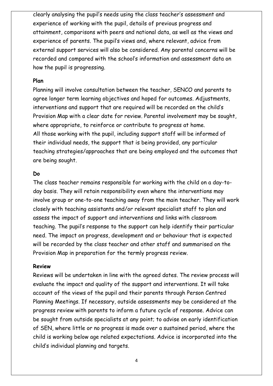clearly analysing the pupil's needs using the class teacher's assessment and experience of working with the pupil, details of previous progress and attainment, comparisons with peers and national data, as well as the views and experience of parents. The pupil's views and, where relevant, advice from external support services will also be considered. Any parental concerns will be recorded and compared with the school's information and assessment data on how the pupil is progressing.

#### **Plan**

Planning will involve consultation between the teacher, SENCO and parents to agree longer term learning objectives and hoped for outcomes. Adjustments, interventions and support that are required will be recorded on the child's Provision Map with a clear date for review. Parental involvement may be sought, where appropriate, to reinforce or contribute to progress at home. All those working with the pupil, including support staff will be informed of their individual needs, the support that is being provided, any particular teaching strategies/approaches that are being employed and the outcomes that are being sought.

#### **Do**

The class teacher remains responsible for working with the child on a day-today basis. They will retain responsibility even where the interventions may involve group or one-to-one teaching away from the main teacher. They will work closely with teaching assistants and/or relevant specialist staff to plan and assess the impact of support and interventions and links with classroom teaching. The pupil's response to the support can help identify their particular need. The impact on progress, development and or behaviour that is expected will be recorded by the class teacher and other staff and summarised on the Provision Map in preparation for the termly progress review.

#### **Review**

Reviews will be undertaken in line with the agreed dates. The review process will evaluate the impact and quality of the support and interventions. It will take account of the views of the pupil and their parents through Person Centred Planning Meetings. If necessary, outside assessments may be considered at the progress review with parents to inform a future cycle of response. Advice can be sought from outside specialists at any point; to advise on early identification of SEN, where little or no progress is made over a sustained period, where the child is working below age related expectations. Advice is incorporated into the child's individual planning and targets.

4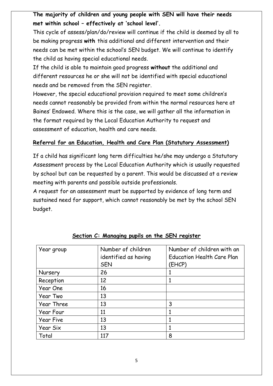# **The majority of children and young people with SEN will have their needs met within school – effectively at 'school level'.**

This cycle of assess/plan/do/review will continue if the child is deemed by all to be making progress **with** this additional and different intervention and their needs can be met within the school's SEN budget. We will continue to identify the child as having special educational needs.

If the child is able to maintain good progress **without** the additional and different resources he or she will not be identified with special educational needs and be removed from the SEN register.

However, the special educational provision required to meet some children's needs cannot reasonably be provided from within the normal resources here at Baines' Endowed. Where this is the case, we will gather all the information in the format required by the Local Education Authority to request and assessment of education, health and care needs.

## **Referral for an Education, Health and Care Plan (Statutory Assessment)**

If a child has significant long term difficulties he/she may undergo a Statutory Assessment process by the Local Education Authority which is usually requested by school but can be requested by a parent. This would be discussed at a review meeting with parents and possible outside professionals.

A request for an assessment must be supported by evidence of long term and sustained need for support, which cannot reasonably be met by the school SEN budget.

| Year group | Number of children   | Number of children with an        |
|------------|----------------------|-----------------------------------|
|            | identified as having | <b>Education Health Care Plan</b> |
|            | <b>SEN</b>           | (EHCP)                            |
| Nursery    | 26                   |                                   |
| Reception  | 12                   |                                   |
| Year One   | 16                   |                                   |
| Year Two   | 13                   |                                   |
| Year Three | 13                   | 3                                 |
| Year Four  | 11                   |                                   |
| Year Five  | 13                   | 1                                 |
| Year Six   | 13                   |                                   |
| Total      | 117                  | 8                                 |

#### **Section C: Managing pupils on the SEN register**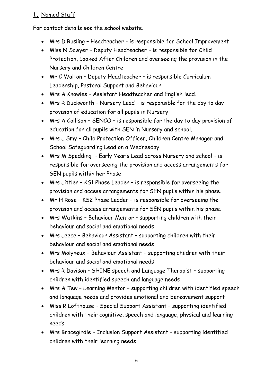# **1.** Named Staff

For contact details see the school website.

- Mrs D Rusling Headteacher is responsible for School Improvement
- Miss N Sawyer Deputy Headteacher is responsible for Child Protection, Looked After Children and overseeing the provision in the Nursery and Children Centre
- Mr C Walton Deputy Headteacher is responsible Curriculum Leadership, Pastoral Support and Behaviour
- Mrs A Knowles Assistant Headteacher and English lead.
- Mrs R Duckworth Nursery Lead is responsible for the day to day provision of education for all pupils in Nursery
- Mrs A Collison SENCO is responsible for the day to day provision of education for all pupils with SEN in Nursery and school.
- Mrs L Smy Child Protection Officer, Children Centre Manager and School Safeguarding Lead on a Wednesday.
- Mrs M Spedding Early Year's Lead across Nursery and school is responsible for overseeing the provision and access arrangements for SEN pupils within her Phase
- Mrs Littler KS1 Phase Leader is responsible for overseeing the provision and access arrangements for SEN pupils within his phase.
- Mr H Rose KS2 Phase Leader is responsible for overseeing the provision and access arrangements for SEN pupils within his phase.
- Mrs Watkins Behaviour Mentor supporting children with their behaviour and social and emotional needs
- Mrs Leece Behaviour Assistant supporting children with their behaviour and social and emotional needs
- Mrs Molyneux Behaviour Assistant supporting children with their behaviour and social and emotional needs
- Mrs R Davison SHINE speech and Language Therapist supporting children with identified speech and language needs
- Mrs A Tew Learning Mentor supporting children with identified speech and language needs and provides emotional and bereavement support
- Miss R Lofthouse Special Support Assistant supporting identified children with their cognitive, speech and language, physical and learning needs
- Mrs Bracegirdle Inclusion Support Assistant supporting identified children with their learning needs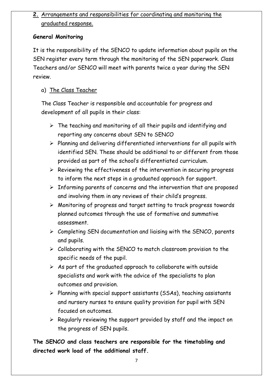# **2.** Arrangements and responsibilities for coordinating and monitoring the graduated response.

## **General Monitoring**

It is the responsibility of the SENCO to update information about pupils on the SEN register every term through the monitoring of the SEN paperwork. Class Teachers and/or SENCO will meet with parents twice a year during the SEN review.

# a) The Class Teacher

The Class Teacher is responsible and accountable for progress and development of all pupils in their class:

- $\triangleright$  The teaching and monitoring of all their pupils and identifying and reporting any concerns about SEN to SENCO
- $\triangleright$  Planning and delivering differentiated interventions for all pupils with identified SEN. These should be additional to or different from those provided as part of the school's differentiated curriculum.
- $\triangleright$  Reviewing the effectiveness of the intervention in securing progress to inform the next steps in a graduated approach for support.
- $\triangleright$  Informing parents of concerns and the intervention that are proposed and involving them in any reviews of their child's progress.
- Monitoring of progress and target setting to track progress towards planned outcomes through the use of formative and summative assessment.
- $\triangleright$  Completing SEN documentation and liaising with the SENCO, parents and pupils.
- $\triangleright$  Collaborating with the SENCO to match classroom provision to the specific needs of the pupil.
- $\triangleright$  As part of the graduated approach to collaborate with outside specialists and work with the advice of the specialists to plan outcomes and provision.
- $\triangleright$  Planning with special support assistants (SSAs), teaching assistants and nursery nurses to ensure quality provision for pupil with SEN focused on outcomes.
- $\triangleright$  Regularly reviewing the support provided by staff and the impact on the progress of SEN pupils.

**The SENCO and class teachers are responsible for the timetabling and directed work load of the additional staff.**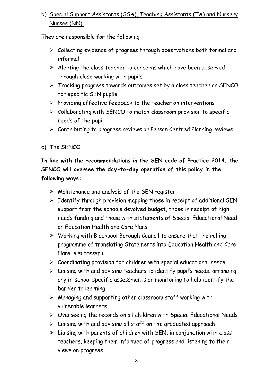# b) Special Support Assistants (SSA), Teaching Assistants (TA) and Nursery Nurses (NN).

They are responsible for the following:-

- $\triangleright$  Collecting evidence of progress through observations both formal and informal
- $\triangleright$  Alerting the class teacher to concerns which have been observed through close working with pupils
- Tracking progress towards outcomes set by a class teacher or SENCO for specific SEN pupils
- $\triangleright$  Providing effective feedback to the teacher on interventions
- $\triangleright$  Collaborating with SENCO to match classroom provision to specific needs of the pupil
- Contributing to progress reviews or Person Centred Planning reviews

c) The SENCO

# **In line with the recommendations in the SEN code of Practice 2014, the SENCO will oversee the day-to-day operation of this policy in the following ways:**

- $\triangleright$  Maintenance and analysis of the SEN register
- $\triangleright$  Identify through provision mapping those in receipt of additional SEN support from the schools devolved budget, those in receipt of high needs funding and those with statements of Special Educational Need or Education Health and Care Plans
- Working with Blackpool Borough Council to ensure that the rolling programme of translating Statements into Education Health and Care Plans is successful
- $\triangleright$  Coordinating provision for children with special educational needs
- $\triangleright$  Liaising with and advising teachers to identify pupil's needs; arranging any in-school specific assessments or monitoring to help identify the barrier to learning
- $\triangleright$  Managing and supporting other classroom staff working with vulnerable learners
- $\triangleright$  Overseeing the records on all children with Special Educational Needs
- $\triangleright$  Liaising with and advising all staff on the graduated approach
- $\triangleright$  Liaising with parents of children with SEN, in conjunction with class teachers, keeping them informed of progress and listening to their views on progress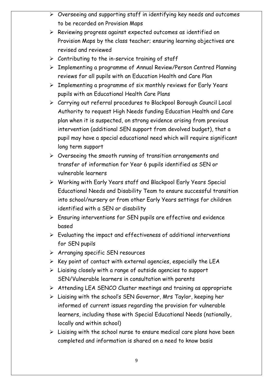- $\triangleright$  Overseeing and supporting staff in identifying key needs and outcomes to be recorded on Provision Maps
- $\triangleright$  Reviewing progress against expected outcomes as identified on Provision Maps by the class teacher; ensuring learning objectives are revised and reviewed
- $\triangleright$  Contributing to the in-service training of staff
- Implementing a programme of Annual Review/Person Centred Planning reviews for all pupils with an Education Health and Care Plan
- $\triangleright$  Implementing a programme of six monthly reviews for Early Years pupils with an Educational Health Care Plans
- Carrying out referral procedures to Blackpool Borough Council Local Authority to request High Needs funding Education Health and Care plan when it is suspected, on strong evidence arising from previous intervention (additional SEN support from devolved budget), that a pupil may have a special educational need which will require significant long term support
- $\triangleright$  Overseeing the smooth running of transition arrangements and transfer of information for Year 6 pupils identified as SEN or vulnerable learners
- Working with Early Years staff and Blackpool Early Years Special Educational Needs and Disability Team to ensure successful transition into school/nursery or from other Early Years settings for children identified with a SEN or disability
- $\triangleright$  Ensuring interventions for SEN pupils are effective and evidence based
- $\triangleright$  Evaluating the impact and effectiveness of additional interventions for SEN pupils
- $\triangleright$  Arranging specific SEN resources
- $\triangleright$  Key point of contact with external agencies, especially the LEA
- $\triangleright$  Liaising closely with a range of outside agencies to support SEN/Vulnerable learners in consultation with parents
- $\triangleright$  Attending LEA SENCO Cluster meetings and training as appropriate
- $\triangleright$  Liaising with the school's SEN Governor, Mrs Taylor, keeping her informed of current issues regarding the provision for vulnerable learners, including those with Special Educational Needs (nationally, locally and within school)
- $\triangleright$  Liaising with the school nurse to ensure medical care plans have been completed and information is shared on a need to know basis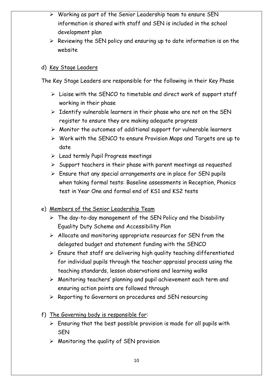- $\triangleright$  Working as part of the Senior Leadership team to ensure SEN information is shared with staff and SEN is included in the school development plan
- $\triangleright$  Reviewing the SEN policy and ensuring up to date information is on the website

#### d) Key Stage Leaders

The Key Stage Leaders are responsible for the following in their Key Phase

- $\triangleright$  Liaise with the SENCO to timetable and direct work of support staff working in their phase
- $\triangleright$  Identify vulnerable learners in their phase who are not on the SEN register to ensure they are making adequate progress
- $\triangleright$  Monitor the outcomes of additional support for vulnerable learners
- $\triangleright$  Work with the SENCO to ensure Provision Maps and Targets are up to date
- $\triangleright$  Lead termly Pupil Progress meetings
- $\triangleright$  Support teachers in their phase with parent meetings as requested
- $\triangleright$  Ensure that any special arrangements are in place for SEN pupils when taking formal tests: Baseline assessments in Reception, Phonics test in Year One and formal end of KS1 and KS2 tests
- e) Members of the Senior Leadership Team
	- $\triangleright$  The day-to-day management of the SEN Policy and the Disability Equality Duty Scheme and Accessibility Plan
	- $\triangleright$  Allocate and monitoring appropriate resources for SEN from the delegated budget and statement funding with the SENCO
	- $\triangleright$  Ensure that staff are delivering high quality teaching differentiated for individual pupils through the teacher appraisal process using the teaching standards, lesson observations and learning walks
	- Monitoring teachers' planning and pupil achievement each term and ensuring action points are followed through
	- $\triangleright$  Reporting to Governors on procedures and SEN resourcing
- f) The Governing body is responsible for:
	- $\triangleright$  Ensuring that the best possible provision is made for all pupils with SEN
	- $\triangleright$  Monitoring the quality of SEN provision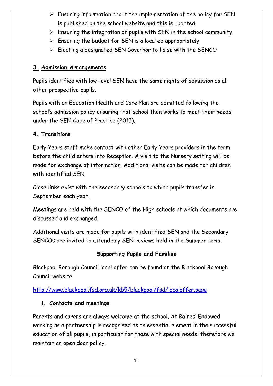- $\triangleright$  Ensuring information about the implementation of the policy for SEN is published on the school website and this is updated
- $\triangleright$  Ensuring the integration of pupils with SEN in the school community
- $\triangleright$  Ensuring the budget for SEN is allocated appropriately
- Electing a designated SEN Governor to liaise with the SENCO

# **3. Admission Arrangements**

Pupils identified with low-level SEN have the same rights of admission as all other prospective pupils.

Pupils with an Education Health and Care Plan are admitted following the school's admission policy ensuring that school then works to meet their needs under the SEN Code of Practice (2015).

# **4. Transitions**

Early Years staff make contact with other Early Years providers in the term before the child enters into Reception. A visit to the Nursery setting will be made for exchange of information. Additional visits can be made for children with identified SEN.

Close links exist with the secondary schools to which pupils transfer in September each year.

Meetings are held with the SENCO of the High schools at which documents are discussed and exchanged.

Additional visits are made for pupils with identified SEN and the Secondary SENCOs are invited to attend any SEN reviews held in the Summer term.

# **Supporting Pupils and Families**

Blackpool Borough Council local offer can be found on the Blackpool Borough Council website

# <http://www.blackpool.fsd.org.uk/kb5/blackpool/fsd/localoffer.page>

# 1. **Contacts and meetings**

Parents and carers are always welcome at the school. At Baines' Endowed working as a partnership is recognised as an essential element in the successful education of all pupils, in particular for those with special needs; therefore we maintain an open door policy.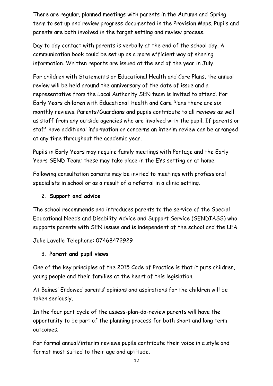There are regular, planned meetings with parents in the Autumn and Spring term to set up and review progress documented in the Provision Maps. Pupils and parents are both involved in the target setting and review process.

Day to day contact with parents is verbally at the end of the school day. A communication book could be set up as a more efficient way of sharing information. Written reports are issued at the end of the year in July.

For children with Statements or Educational Health and Care Plans, the annual review will be held around the anniversary of the date of issue and a representative from the Local Authority SEN team is invited to attend. For Early Years children with Educational Health and Care Plans there are six monthly reviews. Parents/Guardians and pupils contribute to all reviews as well as staff from any outside agencies who are involved with the pupil. If parents or staff have additional information or concerns an interim review can be arranged at any time throughout the academic year.

Pupils in Early Years may require family meetings with Portage and the Early Years SEND Team; these may take place in the EYs setting or at home.

Following consultation parents may be invited to meetings with professional specialists in school or as a result of a referral in a clinic setting.

## 2. **Support and advice**

The school recommends and introduces parents to the service of the Special Educational Needs and Disability Advice and Support Service (SENDIASS) who supports parents with SEN issues and is independent of the school and the LEA.

Julie Lavelle Telephone: 07468472929

## 3. **Parent and pupil views**

One of the key principles of the 2015 Code of Practice is that it puts children, young people and their families at the heart of this legislation.

At Baines' Endowed parents' opinions and aspirations for the children will be taken seriously.

In the four part cycle of the assess-plan-do-review parents will have the opportunity to be part of the planning process for both short and long term outcomes.

For formal annual/interim reviews pupils contribute their voice in a style and format most suited to their age and aptitude.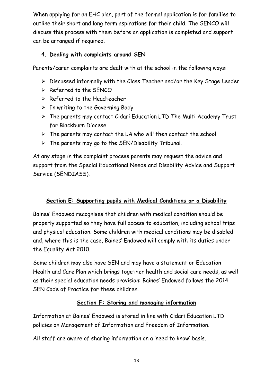When applying for an EHC plan, part of the formal application is for families to outline their short and long term aspirations for their child. The SENCO will discuss this process with them before an application is completed and support can be arranged if required.

## 4. **Dealing with complaints around SEN**

Parents/carer complaints are dealt with at the school in the following ways:

- $\triangleright$  Discussed informally with the Class Teacher and/or the Key Stage Leader
- $\triangleright$  Referred to the SENCO
- $\triangleright$  Referred to the Headteacher
- $\triangleright$  In writing to the Governing Body
- $\triangleright$  The parents may contact Cidari Education LTD The Multi Academy Trust for Blackburn Diocese
- $\triangleright$  The parents may contact the LA who will then contact the school
- $\triangleright$  The parents may go to the SEN/Disability Tribunal.

At any stage in the complaint process parents may request the advice and support from the Special Educational Needs and Disability Advice and Support Service (SENDIASS).

# **Section E: Supporting pupils with Medical Conditions or a Disability**

Baines' Endowed recognises that children with medical condition should be properly supported so they have full access to education, including school trips and physical education. Some children with medical conditions may be disabled and, where this is the case, Baines' Endowed will comply with its duties under the Equality Act 2010.

Some children may also have SEN and may have a statement or Education Health and Care Plan which brings together health and social care needs, as well as their special education needs provision: Baines' Endowed follows the 2014 SEN Code of Practice for these children.

# **Section F: Storing and managing information**

Information at Baines' Endowed is stored in line with Cidari Education LTD policies on Management of Information and Freedom of Information.

All staff are aware of sharing information on a 'need to know' basis.